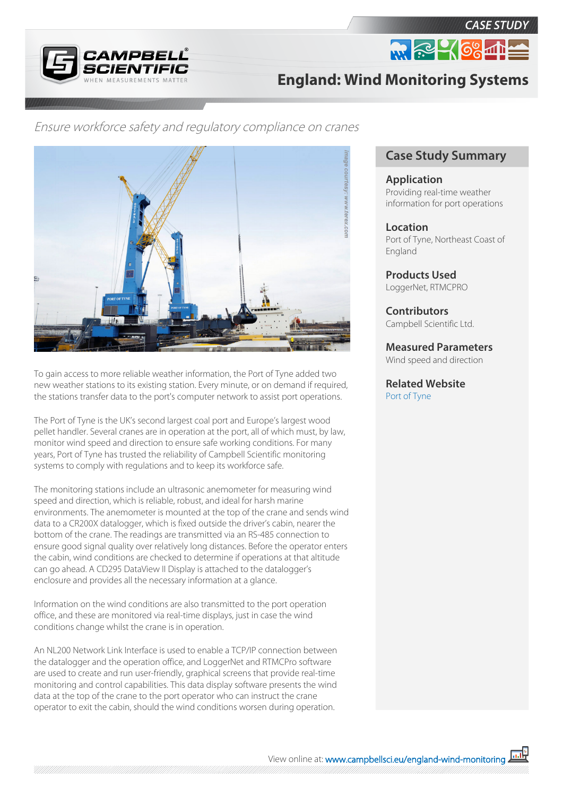



**England: Wind Monitoring Systems**

## Ensure workforce safety and regulatory compliance on cranes



To gain access to more reliable weather information, the Port of Tyne added two new weather stations to its existing station. Every minute, or on demand if required, the stations transfer data to the port's computer network to assist port operations.

The Port of Tyne is the UK's second largest coal port and Europe's largest wood pellet handler. Several cranes are in operation at the port, all of which must, by law, monitor wind speed and direction to ensure safe working conditions. For many years, Port of Tyne has trusted the reliability of Campbell Scientific monitoring systems to comply with regulations and to keep its workforce safe.

The monitoring stations include an ultrasonic anemometer for measuring wind speed and direction, which is reliable, robust, and ideal for harsh marine environments. The anemometer is mounted at the top of the crane and sends wind data to a CR200X datalogger, which is fixed outside the driver's cabin, nearer the bottom of the crane. The readings are transmitted via an RS-485 connection to ensure good signal quality over relatively long distances. Before the operator enters the cabin, wind conditions are checked to determine if operations at that altitude can go ahead. A CD295 DataView II Display is attached to the datalogger's enclosure and provides all the necessary information at a glance.

Information on the wind conditions are also transmitted to the port operation office, and these are monitored via real-time displays, just in case the wind conditions change whilst the crane is in operation.

An NL200 Network Link Interface is used to enable a TCP/IP connection between the datalogger and the operation office, and LoggerNet and RTMCPro software are used to create and run user-friendly, graphical screens that provide real-time monitoring and control capabilities. This data display software presents the wind data at the top of the crane to the port operator who can instruct the crane operator to exit the cabin, should the wind conditions worsen during operation.

## **Case Study Summary**

**Application** Providing real-time weather information for port operations

**Location** Port of Tyne, Northeast Coast of England

**Products Used** LoggerNet, RTMCPRO

**Contributors** Campbell Scientific Ltd.

**Measured Parameters** Wind speed and direction

**Related Website** [Port of Tyne](http://www.portoftyne.co.uk)